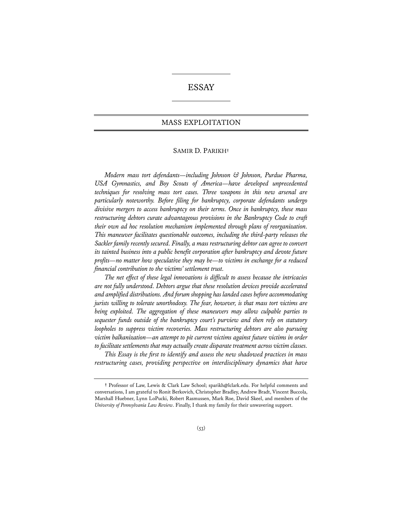# ESSAY

## MASS EXPLOITATION

## SAMIR D. PARIKH**†**

*Modern mass tort defendants—including Johnson & Johnson, Purdue Pharma, USA Gymnastics, and Boy Scouts of America—have developed unprecedented techniques for resolving mass tort cases. Three weapons in this new arsenal are particularly noteworthy. Before filing for bankruptcy, corporate defendants undergo divisive mergers to access bankruptcy on their terms. Once in bankruptcy, these mass restructuring debtors curate advantageous provisions in the Bankruptcy Code to craft their own ad hoc resolution mechanism implemented through plans of reorganization. This maneuver facilitates questionable outcomes, including the third-party releases the Sackler family recently secured. Finally, a mass restructuring debtor can agree to convert its tainted business into a public benefit corporation after bankruptcy and devote future profits—no matter how speculative they may be—to victims in exchange for a reduced financial contribution to the victims' settlement trust.*

*The net effect of these legal innovations is difficult to assess because the intricacies are not fully understood. Debtors argue that these resolution devices provide accelerated and amplified distributions. And forum shopping has landed cases before accommodating jurists willing to tolerate unorthodoxy. The fear, however, is that mass tort victims are being exploited. The aggregation of these maneuvers may allow culpable parties to sequester funds outside of the bankruptcy court's purview and then rely on statutory loopholes to suppress victim recoveries. Mass restructuring debtors are also pursuing victim balkanization—an attempt to pit current victims against future victims in order*  to facilitate settlements that may actually create disparate treatment across victim classes.

*This Essay is the frst to identify and assess the new shadowed practices in mass restructuring cases, providing perspective on interdisciplinary dynamics that have* 

**<sup>†</sup>** Professor of Law, Lewis & Clark Law School; sparikh@lclark.edu. For helpful comments and conversations, I am grateful to Ronit Berkovich, Christopher Bradley, Andrew Bradt, Vincent Buccola, Marshall Huebner, Lynn LoPucki, Robert Rasmussen, Mark Roe, David Skeel, and members of the *University of Pennsylvania Law Review*. Finally, I thank my family for their unwavering support.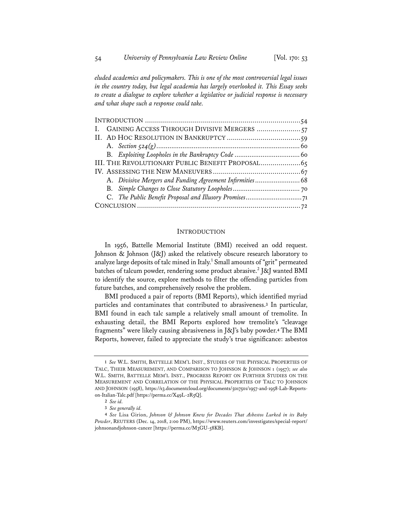*eluded academics and policymakers. This is one of the most controversial legal issues in the country today, but legal academia has largely overlooked it. This Essay seeks to create a dialogue to explore whether a legislative or judicial response is necessary and what shape such a response could take.*

| I. GAINING ACCESS THROUGH DIVISIVE MERGERS 57            |  |
|----------------------------------------------------------|--|
|                                                          |  |
|                                                          |  |
|                                                          |  |
| III. THE REVOLUTIONARY PUBLIC BENEFIT PROPOSAL 65        |  |
|                                                          |  |
| A. Divisive Mergers and Funding Agreement Infirmities 68 |  |
|                                                          |  |
|                                                          |  |
|                                                          |  |

## **INTRODUCTION**

In 1956, Battelle Memorial Institute (BMI) received an odd request. Johnson & Johnson (J&J) asked the relatively obscure research laboratory to analyze large deposits of talc mined in Italy.<sup>1</sup> Small amounts of "grit" permeated batches of talcum powder, rendering some product abrasive.<sup>2</sup> J&J wanted BMI to identify the source, explore methods to filter the offending particles from future batches, and comprehensively resolve the problem.

BMI produced a pair of reports (BMI Reports), which identified myriad particles and contaminates that contributed to abrasiveness.**<sup>3</sup>** In particular, BMI found in each talc sample a relatively small amount of tremolite. In exhausting detail, the BMI Reports explored how tremolite's "cleavage fragments" were likely causing abrasiveness in J&J's baby powder.**<sup>4</sup>** The BMI Reports, however, failed to appreciate the study's true significance: asbestos

**<sup>1</sup>** *See* W.L. SMITH, BATTELLE MEM'L INST., STUDIES OF THE PHYSICAL PROPERTIES OF TALC, THEIR MEASUREMENT, AND COMPARISON TO JOHNSON & JOHNSON 1 (1957); *see also* W.L. SMITH, BATTELLE MEM'L INST., PROGRESS REPORT ON FURTHER STUDIES ON THE MEASUREMENT AND CORRELATION OF THE PHYSICAL PROPERTIES OF TALC TO JOHNSON AND JOHNSON (1958), https://s3.documentcloud.org/documents/5017501/1957-and-1958-Lab-Reportson-Italian-Talc.pdf [https://perma.cc/X49L-2R5Q].

**<sup>2</sup>** *See id.*

**<sup>3</sup>** *See generally id.*

**<sup>4</sup>** *See* Lisa Girion, *Johnson & Johnson Knew for Decades That Asbestos Lurked in its Baby Powder*, REUTERS (Dec. 14, 2018, 2:00 PM), https://www.reuters.com/investigates/special-report/ johnsonandjohnson-cancer [https://perma.cc/M3GU-58KB].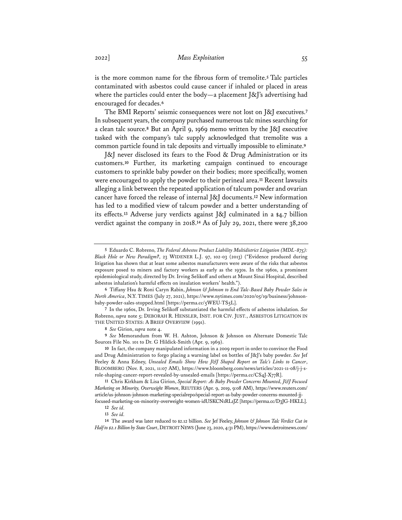is the more common name for the fibrous form of tremolite.**<sup>5</sup>** Talc particles contaminated with asbestos could cause cancer if inhaled or placed in areas where the particles could enter the body—a placement  $[\&]$ 's advertising had encouraged for decades.**<sup>6</sup>**

The BMI Reports' seismic consequences were not lost on J&J executives.**<sup>7</sup>** In subsequent years, the company purchased numerous talc mines searching for a clean talc source.**<sup>8</sup>** But an April 9, 1969 memo written by the J&J executive tasked with the company's talc supply acknowledged that tremolite was a common particle found in talc deposits and virtually impossible to eliminate.**<sup>9</sup>**

J&J never disclosed its fears to the Food & Drug Administration or its customers.**<sup>10</sup>** Further, its marketing campaign continued to encourage customers to sprinkle baby powder on their bodies; more specifically, women were encouraged to apply the powder to their perineal area.**<sup>11</sup>** Recent lawsuits alleging a link between the repeated application of talcum powder and ovarian cancer have forced the release of internal J&J documents.**<sup>12</sup>** New information has led to a modified view of talcum powder and a better understanding of its effects.**<sup>13</sup>** Adverse jury verdicts against J&J culminated in a \$4.7 billion verdict against the company in 2018.**<sup>14</sup>** As of July 29, 2021, there were 38,200

**11** Chris Kirkham & Lisa Girion, *Special Report: As Baby Powder Concerns Mounted, J&J Focused Marketing on Minority, Overweight Women*, REUTERS (Apr. 9, 2019, 9:08 AM), https://www.reuters.com/ article/us-johnson-johnson-marketing-specialrepo/special-report-as-baby-powder-concerns-mounted-jjfocused-marketing-on-minority-overweight-women-idUSKCN1RL1JZ [https://perma.cc/D3JG-HKLL].

**14** The award was later reduced to \$2.12 billion. *See* Jef Feeley, *Johnson & Johnson Talc Verdict Cut in Half to \$2.1 Billion by State Court*, DETROIT NEWS (June 23, 2020, 4:31 PM), https://www.detroitnews.com/

**<sup>5</sup>** Eduardo C. Robreno, *The Federal Asbestos Product Liability Multidistrict Litigation (MDL-875): Black Hole or New Paradigm?*, 23 WIDENER L.J. 97, 102-03 (2013) ("Evidence produced during litigation has shown that at least some asbestos manufacturers were aware of the risks that asbestos exposure posed to miners and factory workers as early as the 1930s. In the 1960s, a prominent epidemiological study, directed by Dr. Irving Selikoff and others at Mount Sinai Hospital, described asbestos inhalation's harmful effects on insulation workers' health.").

**<sup>6</sup>** Tiffany Hsu & Roni Caryn Rabin, *Johnson & Johnson to End Talc-Based Baby Powder Sales in North America*, N.Y. TIMES (July 27, 2021), https://www.nytimes.com/2020/05/19/business/johnsonbaby-powder-sales-stopped.html [https://perma.cc/5WEU-TS5L].

**<sup>7</sup>** In the 1960s, Dr. Irving Selikoff substantiated the harmful effects of asbestos inhalation. *See*  Robreno, *supra* note 5; DEBORAH R. HENSLER, INST. FOR CIV. JUST., ASBESTOS LITIGATION IN THE UNITED STATES: A BRIEF OVERVIEW (1991).

**<sup>8</sup>** *See* Girion, *supra* note 4.

**<sup>9</sup>** *See* Memorandum from W. H. Ashton, Johnson & Johnson on Alternate Domestic Talc Sources File No. 101 to Dr. G Hildick-Smith (Apr. 9, 1969).

**<sup>10</sup>** In fact, the company manipulated information in a 2009 report in order to convince the Food and Drug Administration to forgo placing a warning label on bottles of J&J's baby powder. *See* Jef Feeley & Anna Edney, *Unsealed Emails Show How J&J Shaped Report on Talc's Links to Cancer*, BLOOMBERG (Nov. 8, 2021, 11:07 AM), https://www.bloomberg.com/news/articles/2021-11-08/j-j-srole-shaping-cancer-report-revealed-by-unsealed-emails [https://perma.cc/CS4J-X77R].

**<sup>12</sup>** *See id.*

**<sup>13</sup>** *See id.*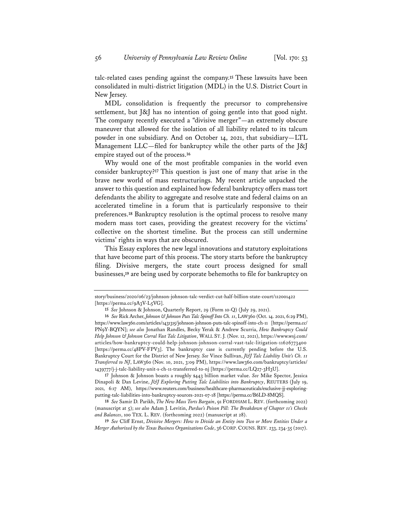talc-related cases pending against the company.**<sup>15</sup>** These lawsuits have been consolidated in multi-district litigation (MDL) in the U.S. District Court in New Jersey.

MDL consolidation is frequently the precursor to comprehensive settlement, but J&J has no intention of going gentle into that good night. The company recently executed a "divisive merger"—an extremely obscure maneuver that allowed for the isolation of all liability related to its talcum powder in one subsidiary. And on October 14, 2021, that subsidiary—LTL Management LLC—filed for bankruptcy while the other parts of the J&J empire stayed out of the process.**<sup>16</sup>**

Why would one of the most profitable companies in the world even consider bankruptcy?**<sup>17</sup>** This question is just one of many that arise in the brave new world of mass restructurings. My recent article unpacked the answer to this question and explained how federal bankruptcy offers mass tort defendants the ability to aggregate and resolve state and federal claims on an accelerated timeline in a forum that is particularly responsive to their preferences.**<sup>18</sup>** Bankruptcy resolution is the optimal process to resolve many modern mass tort cases, providing the greatest recovery for the victims' collective on the shortest timeline. But the process can still undermine victims' rights in ways that are obscured.

This Essay explores the new legal innovations and statutory exploitations that have become part of this process. The story starts before the bankruptcy filing. Divisive mergers, the state court process designed for small businesses,**<sup>19</sup>** are being used by corporate behemoths to file for bankruptcy on

**17** Johnson & Johnson boasts a roughly \$443 billion market value. *See* Mike Spector, Jessica Dinapoli & Dan Levine, *J&J Exploring Putting Talc Liabilities into Bankruptcy*, REUTERS (July 19, 2021, 6:17 AM), https://www.reuters.com/business/healthcare-pharmaceuticals/exclusive-jj-exploringputting-talc-liabilities-into-bankruptcy-sources-2021-07-18 [https://perma.cc/B6LD-8MQS].

**18** *See* Samir D. Parikh, *The New Mass Torts Bargain*, 91 FORDHAM L. REV. (forthcoming 2022) (manuscript at 5); *see also* Adam J. Levitin, *Purdue's Poison Pill: The Breakdown of Chapter 11's Checks and Balances*, 100 TEX. L. REV. (forthcoming 2022) (manuscript at 28).

**19** *See* Cliff Ernst, *Divisive Mergers: How to Divide an Entity into Two or More Entities Under a Merger Authorized by the Texas Business Organizations Code*, 36 CORP.COUNS. REV. 233, 234-35 (2017).

story/business/2020/06/23/johnson-johnson-talc-verdict-cut-half-billion-state-court/112001422 [https://perma.cc/9A3V-L5VG].

**<sup>15</sup>** *See* Johnson & Johnson, Quarterly Report, 29 (Form 10-Q) (July 29, 2021).

**<sup>16</sup>** *See* Rick Archer, *Johnson & Johnson Puts Talc Spinoff Into Ch. 11*, LAW360 (Oct. 14. 2021, 6:29 PM), https://www.law360.com/articles/1431315/johnson-johnson-puts-talc-spinoff-into-ch-11 [https://perma.cc/ PN9Y-BQYN]; *see also* Jonathan Randles, Becky Yerak & Andrew Scurria, *How Bankruptcy Could Help Johnson & Johnson Corral Vast Talc Litigation*, WALL ST. J. (Nov. 12, 2021), https://www.wsj.com/ articles/how-bankruptcy-could-help-johnson-johnson-corral-vast-talc-litigation-11626773400 [https://perma.cc/48PV-FPV3]. The bankruptcy case is currently pending before the U.S. Bankruptcy Court for the District of New Jersey. *See* Vince Sullivan, *J&J Talc Liability Unit's Ch. 11 Transferred to NJ*, LAW360 (Nov. 10, 2021, 3:09 PM), https://www.law360.com/bankruptcy/articles/ 1439777/j-j-talc-liability-unit-s-ch-11-transferred-to-nj [https://perma.cc/LQ27-3H3U].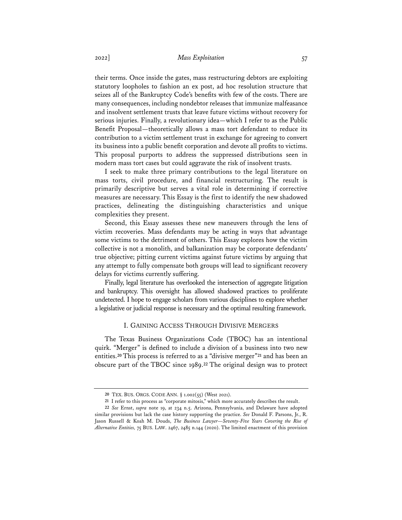their terms. Once inside the gates, mass restructuring debtors are exploiting statutory loopholes to fashion an ex post, ad hoc resolution structure that seizes all of the Bankruptcy Code's benefits with few of the costs. There are many consequences, including nondebtor releases that immunize malfeasance and insolvent settlement trusts that leave future victims without recovery for serious injuries. Finally, a revolutionary idea—which I refer to as the Public Benefit Proposal—theoretically allows a mass tort defendant to reduce its contribution to a victim settlement trust in exchange for agreeing to convert its business into a public benefit corporation and devote all profits to victims. This proposal purports to address the suppressed distributions seen in modern mass tort cases but could aggravate the risk of insolvent trusts.

I seek to make three primary contributions to the legal literature on mass torts, civil procedure, and financial restructuring. The result is primarily descriptive but serves a vital role in determining if corrective measures are necessary. This Essay is the first to identify the new shadowed practices, delineating the distinguishing characteristics and unique complexities they present.

Second, this Essay assesses these new maneuvers through the lens of victim recoveries. Mass defendants may be acting in ways that advantage some victims to the detriment of others. This Essay explores how the victim collective is not a monolith, and balkanization may be corporate defendants' true objective; pitting current victims against future victims by arguing that any attempt to fully compensate both groups will lead to significant recovery delays for victims currently suffering.

Finally, legal literature has overlooked the intersection of aggregate litigation and bankruptcy. This oversight has allowed shadowed practices to proliferate undetected. I hope to engage scholars from various disciplines to explore whether a legislative or judicial response is necessary and the optimal resulting framework.

#### I. GAINING ACCESS THROUGH DIVISIVE MERGERS

The Texas Business Organizations Code (TBOC) has an intentional quirk. "Merger" is defined to include a division of a business into two new entities.**<sup>20</sup>** This process is referred to as a "divisive merger"**<sup>21</sup>** and has been an obscure part of the TBOC since 1989.**<sup>22</sup>** The original design was to protect

**<sup>20</sup>** TEX. BUS. ORGS. CODE ANN. § 1.002(55) (West 2021).

**<sup>21</sup>** I refer to this process as "corporate mitosis," which more accurately describes the result.

**<sup>22</sup>** *See* Ernst, *supra* note 19, at 234 n.5. Arizona, Pennsylvania, and Delaware have adopted similar provisions but lack the case history supporting the practice. *See* Donald F. Parsons, Jr., R. Jason Russell & Koah M. Douds, *The Business Lawyer—Seventy-Five Years Covering the Rise of Alternative Entities,* 75 BUS. LAW. 2467, 2485 n.144 (2020). The limited enactment of this provision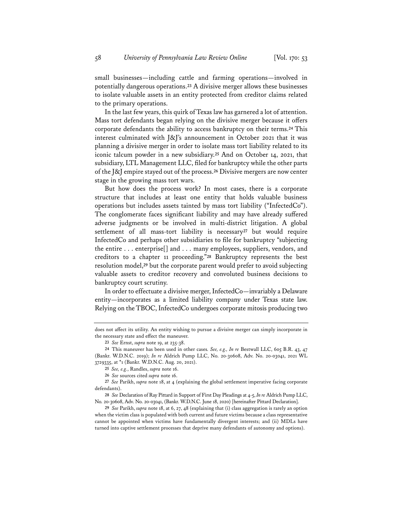small businesses—including cattle and farming operations—involved in potentially dangerous operations.**<sup>23</sup>** A divisive merger allows these businesses to isolate valuable assets in an entity protected from creditor claims related to the primary operations.

In the last few years, this quirk of Texas law has garnered a lot of attention. Mass tort defendants began relying on the divisive merger because it offers corporate defendants the ability to access bankruptcy on their terms.**<sup>24</sup>** This interest culminated with J&J's announcement in October 2021 that it was planning a divisive merger in order to isolate mass tort liability related to its iconic talcum powder in a new subsidiary.**<sup>25</sup>** And on October 14, 2021, that subsidiary, LTL Management LLC, filed for bankruptcy while the other parts of the J&J empire stayed out of the process.**<sup>26</sup>** Divisive mergers are now center stage in the growing mass tort wars.

But how does the process work? In most cases, there is a corporate structure that includes at least one entity that holds valuable business operations but includes assets tainted by mass tort liability ("InfectedCo"). The conglomerate faces significant liability and may have already suffered adverse judgments or be involved in multi-district litigation. A global settlement of all mass-tort liability is necessary**<sup>27</sup>** but would require InfectedCo and perhaps other subsidiaries to file for bankruptcy "subjecting the entire . . . enterprise[] and . . . many employees, suppliers, vendors, and creditors to a chapter 11 proceeding."**<sup>28</sup>** Bankruptcy represents the best resolution model,**<sup>29</sup>** but the corporate parent would prefer to avoid subjecting valuable assets to creditor recovery and convoluted business decisions to bankruptcy court scrutiny.

In order to effectuate a divisive merger, InfectedCo—invariably a Delaware entity—incorporates as a limited liability company under Texas state law. Relying on the TBOC, InfectedCo undergoes corporate mitosis producing two

does not affect its utility. An entity wishing to pursue a divisive merger can simply incorporate in the necessary state and effect the maneuver.

**<sup>23</sup>** *See* Ernst, *supra* note 19, at 235-38.

**<sup>24</sup>** This maneuver has been used in other cases*. See, e.g., In re* Bestwall LLC, 605 B.R. 43, 47 (Bankr. W.D.N.C. 2019); *In re* Aldrich Pump LLC, No. 20-30608, Adv. No. 20-03041, 2021 WL 3729335, at \*1 (Bankr. W.D.N.C. Aug. 20, 2021).

**<sup>25</sup>** *See, e.g.*, Randles, *supra* note 16.

**<sup>26</sup>** *See* sources cited *supra* note 16.

**<sup>27</sup>** *See* Parikh, *supra* note 18, at 4 (explaining the global settlement imperative facing corporate defendants).

**<sup>28</sup>** *See* Declaration of Ray Pittard in Support of First Day Pleadings at 4-5, *In re* Aldrich Pump LLC, No. 20-30608, Adv. No. 20-03041, (Bankr. W.D.N.C. June 18, 2020) [hereinafter Pittard Declaration].

**<sup>29</sup>** *See* Parikh, *supra* note 18, at 6, 27, 48 (explaining that (i) class aggregation is rarely an option when the victim class is populated with both current and future victims because a class representative cannot be appointed when victims have fundamentally divergent interests; and (ii) MDLs have turned into captive settlement processes that deprive many defendants of autonomy and options).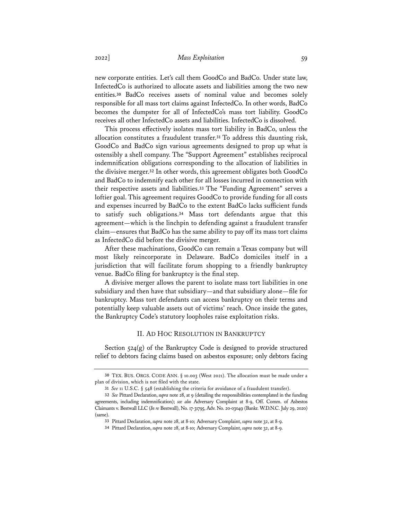## 2022] *Mass Exploitation* 59

new corporate entities. Let's call them GoodCo and BadCo. Under state law, InfectedCo is authorized to allocate assets and liabilities among the two new entities.**<sup>30</sup>** BadCo receives assets of nominal value and becomes solely responsible for all mass tort claims against InfectedCo. In other words, BadCo becomes the dumpster for all of InfectedCo's mass tort liability. GoodCo receives all other InfectedCo assets and liabilities. InfectedCo is dissolved.

This process effectively isolates mass tort liability in BadCo, unless the allocation constitutes a fraudulent transfer.**<sup>31</sup>** To address this daunting risk, GoodCo and BadCo sign various agreements designed to prop up what is ostensibly a shell company. The "Support Agreement" establishes reciprocal indemnification obligations corresponding to the allocation of liabilities in the divisive merger.**<sup>32</sup>** In other words, this agreement obligates both GoodCo and BadCo to indemnify each other for all losses incurred in connection with their respective assets and liabilities.**<sup>33</sup>** The "Funding Agreement" serves a loftier goal. This agreement requires GoodCo to provide funding for all costs and expenses incurred by BadCo to the extent BadCo lacks sufficient funds to satisfy such obligations.**<sup>34</sup>** Mass tort defendants argue that this agreement—which is the linchpin to defending against a fraudulent transfer claim—ensures that BadCo has the same ability to pay off its mass tort claims as InfectedCo did before the divisive merger.

After these machinations, GoodCo can remain a Texas company but will most likely reincorporate in Delaware. BadCo domiciles itself in a jurisdiction that will facilitate forum shopping to a friendly bankruptcy venue. BadCo filing for bankruptcy is the final step.

A divisive merger allows the parent to isolate mass tort liabilities in one subsidiary and then have that subsidiary—and that subsidiary alone—file for bankruptcy. Mass tort defendants can access bankruptcy on their terms and potentially keep valuable assets out of victims' reach. Once inside the gates, the Bankruptcy Code's statutory loopholes raise exploitation risks.

## II. AD HOC RESOLUTION IN BANKRUPTCY

Section  $524(g)$  of the Bankruptcy Code is designed to provide structured relief to debtors facing claims based on asbestos exposure; only debtors facing

**<sup>30</sup>** TEX. BUS. ORGS. CODE ANN. § 10.003 (West 2021). The allocation must be made under a plan of division, which is not filed with the state.

**<sup>31</sup>** *See* 11 U.S.C. § 548 (establishing the criteria for avoidance of a fraudulent transfer).

**<sup>32</sup>** *See* Pittard Declaration, *supra* note 28, at 9 (detailing the responsibilities contemplated in the funding agreements, including indemnification); *see also* Adversary Complaint at 8-9, Off. Comm. of Asbestos Claimants v. Bestwall LLC (*In re* Bestwall), No. 17-31795, Adv. No. 20-03049 (Bankr. W.D.N.C. July 29, 2020) (same).

**<sup>33</sup>** Pittard Declaration, *supra* note 28, at 8-10; Adversary Complaint, *supra* note 32, at 8-9.

**<sup>34</sup>** Pittard Declaration, *supra* note 28, at 8-10; Adversary Complaint, *supra* note 32, at 8-9.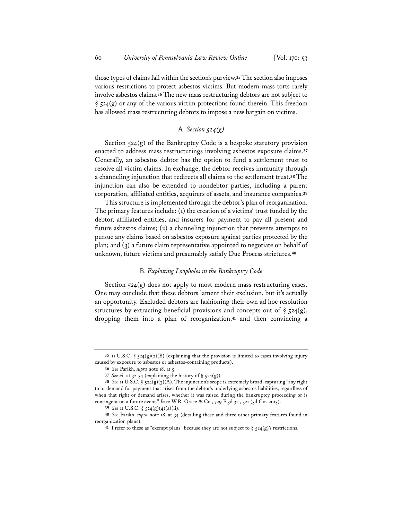those types of claims fall within the section's purview.**35**The section also imposes various restrictions to protect asbestos victims. But modern mass torts rarely involve asbestos claims.**<sup>36</sup>** The new mass restructuring debtors are not subject to  $\S$  524(g) or any of the various victim protections found therein. This freedom has allowed mass restructuring debtors to impose a new bargain on victims.

## A. *Section 524(g)*

Section 524(g) of the Bankruptcy Code is a bespoke statutory provision enacted to address mass restructurings involving asbestos exposure claims.**<sup>37</sup>** Generally, an asbestos debtor has the option to fund a settlement trust to resolve all victim claims. In exchange, the debtor receives immunity through a channeling injunction that redirects all claims to the settlement trust.**<sup>38</sup>** The injunction can also be extended to nondebtor parties, including a parent corporation, affiliated entities, acquirers of assets, and insurance companies.**<sup>39</sup>**

This structure is implemented through the debtor's plan of reorganization. The primary features include: (1) the creation of a victims' trust funded by the debtor, affiliated entities, and insurers for payment to pay all present and future asbestos claims; (2) a channeling injunction that prevents attempts to pursue any claims based on asbestos exposure against parties protected by the plan; and (3) a future claim representative appointed to negotiate on behalf of unknown, future victims and presumably satisfy Due Process strictures.**<sup>40</sup>**

#### B. *Exploiting Loopholes in the Bankruptcy Code*

Section  $524(g)$  does not apply to most modern mass restructuring cases. One may conclude that these debtors lament their exclusion, but it's actually an opportunity. Excluded debtors are fashioning their own ad hoc resolution structures by extracting beneficial provisions and concepts out of  $\S$  524(g), dropping them into a plan of reorganization,**<sup>41</sup>** and then convincing a

**<sup>35</sup>** 11 U.S.C. § 524(g)(2)(B) (explaining that the provision is limited to cases involving injury caused by exposure to asbestos or asbestos-containing products).

**<sup>36</sup>** *See* Parikh, *supra* note 18, at 5.

**<sup>37</sup>** *See id.* at 32-34 (explaining the history of § 524(g)).

**<sup>38</sup>** *See* 11 U.S.C. § 524(g)(3)(A). The injunction's scope is extremely broad, capturing "any right to or demand for payment that arises from the debtor's underlying asbestos liabilities, regardless of when that right or demand arises, whether it was raised during the bankruptcy proceeding or is contingent on a future event." *In re* W.R. Grace & Co., 729 F.3d 311, 321 (3d Cir. 2013).

**<sup>39</sup>** *See* 11 U.S.C. § 524(g)(4)(a)(ii).

**<sup>40</sup>** *See* Parikh, *supra* note 18, at 34 (detailing these and three other primary features found in reorganization plans).

**<sup>41</sup>** I refer to these as "exempt plans" because they are not subject to § 524(g)'s restrictions.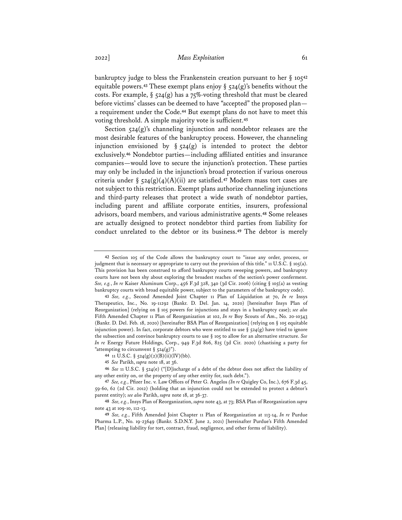bankruptcy judge to bless the Frankenstein creation pursuant to her § 105**<sup>42</sup>** equitable powers.**<sup>43</sup>** These exempt plans enjoy § 524(g)'s benefits without the costs. For example,  $\S$  524(g) has a 75%-voting threshold that must be cleared before victims' classes can be deemed to have "accepted" the proposed plan a requirement under the Code.**<sup>44</sup>** But exempt plans do not have to meet this voting threshold. A simple majority vote is sufficient.**<sup>45</sup>**

Section 524(g)'s channeling injunction and nondebtor releases are the most desirable features of the bankruptcy process. However, the channeling injunction envisioned by  $\S$  524(g) is intended to protect the debtor exclusively.**<sup>46</sup>** Nondebtor parties—including affiliated entities and insurance companies—would love to secure the injunction's protection. These parties may only be included in the injunction's broad protection if various onerous criteria under § 524(g)(4)(A)(ii) are satisfied.**<sup>47</sup>** Modern mass tort cases are not subject to this restriction. Exempt plans authorize channeling injunctions and third-party releases that protect a wide swath of nondebtor parties, including parent and affiliate corporate entities, insurers, professional advisors, board members, and various administrative agents.**<sup>48</sup>** Some releases are actually designed to protect nondebtor third parties from liability for conduct unrelated to the debtor or its business.**<sup>49</sup>** The debtor is merely

**<sup>42</sup>** Section 105 of the Code allows the bankruptcy court to "issue any order, process, or judgment that is necessary or appropriate to carry out the provision of this title." 11 U.S.C. § 105(a). This provision has been construed to afford bankruptcy courts sweeping powers, and bankruptcy courts have not been shy about exploring the broadest reaches of the section's power conferment. *See, e.g.*, *In re* Kaiser Aluminum Corp., 456 F.3d 328, 340 (3d Cir. 2006) (citing § 105(a) as vesting bankruptcy courts with broad equitable power, subject to the parameters of the bankruptcy code).

**<sup>43</sup>** *See, e.g.*, Second Amended Joint Chapter 11 Plan of Liquidation at 70, *In re* Insys Therapeutics, Inc., No. 19-11292 (Bankr. D. Del. Jan. 14, 2020) [hereinafter Insys Plan of Reorganization] (relying on § 105 powers for injunctions and stays in a bankruptcy case); *see also* Fifth Amended Chapter 11 Plan of Reorganization at 102, *In re* Boy Scouts of Am., No. 20-10343 (Bankr. D. Del. Feb. 18, 2020) [hereinafter BSA Plan of Reorganization] (relying on § 105 equitable injunction power). In fact, corporate debtors who were entitled to use  $\S$  524(g) have tried to ignore the subsection and convince bankruptcy courts to use § 105 to allow for an alternative structure. *See In re* Energy Future Holdings, Corp., 949 F.3d 806, 825 (3d Cir. 2020) (chastising a party for "attempting to circumvent  $\S$  524(g)")

**<sup>44</sup>** 11 U.S.C. § 524(g)(2)(B)(ii)(IV)(bb).

**<sup>45</sup>** *See* Parikh, *supra* note 18, at 36.

**<sup>46</sup>** *See* 11 U.S.C. § 524(e) ("[D]ischarge of a debt of the debtor does not affect the liability of any other entity on, or the property of any other entity for, such debt.").

**<sup>47</sup>** *See, e.g.*, Pfizer Inc. v. Law Offices of Peter G. Angelos *(In re* Quigley Co, Inc.), 676 F.3d 45, 59-60, 62 (2d Cir. 2012) (holding that an injunction could not be extended to protect a debtor's parent entity); *see also* Parikh, *supra* note 18, at 36-37.

**<sup>48</sup>** *See, e.g.*, Insys Plan of Reorganization, *supra* note 43, at 73; BSA Plan of Reorganization *supra* note 43 at 109-10, 112-13.

**<sup>49</sup>** *See, e.g.*, Fifth Amended Joint Chapter 11 Plan of Reorganization at 113-14, *In re* Purdue Pharma L.P., No. 19-23649 (Bankr. S.D.N.Y. June 2, 2021) [hereinafter Purdue's Fifth Amended Plan] (releasing liability for tort, contract, fraud, negligence, and other forms of liability).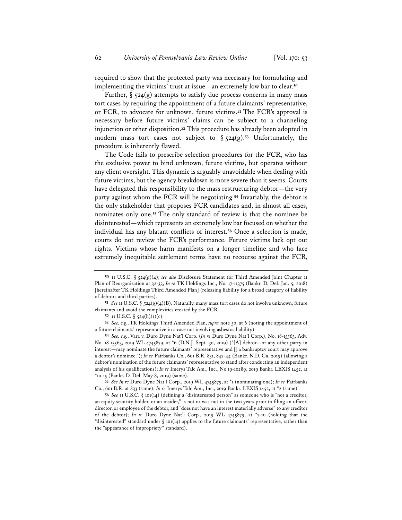required to show that the protected party was necessary for formulating and implementing the victims' trust at issue—an extremely low bar to clear.**<sup>50</sup>**

Further,  $\S$  524(g) attempts to satisfy due process concerns in many mass tort cases by requiring the appointment of a future claimants' representative, or FCR, to advocate for unknown, future victims.**<sup>51</sup>** The FCR's approval is necessary before future victims' claims can be subject to a channeling injunction or other disposition.**<sup>52</sup>** This procedure has already been adopted in modern mass tort cases not subject to § 524(g).**<sup>53</sup>** Unfortunately, the procedure is inherently flawed.

The Code fails to prescribe selection procedures for the FCR, who has the exclusive power to bind unknown, future victims, but operates without any client oversight. This dynamic is arguably unavoidable when dealing with future victims, but the agency breakdown is more severe than it seems. Courts have delegated this responsibility to the mass restructuring debtor—the very party against whom the FCR will be negotiating.**<sup>54</sup>** Invariably, the debtor is the only stakeholder that proposes FCR candidates and, in almost all cases, nominates only one.**<sup>55</sup>** The only standard of review is that the nominee be disinterested—which represents an extremely low bar focused on whether the individual has any blatant conflicts of interest.**<sup>56</sup>** Once a selection is made, courts do not review the FCR's performance. Future victims lack opt out rights. Victims whose harm manifests on a longer timeline and who face extremely inequitable settlement terms have no recourse against the FCR,

**55** *See In re* Duro Dyne Nat'l Corp., 2019 WL 4745879, at \*1 (nominating one); *In re* Fairbanks Co., 601 B.R. at 833 (same); *In re* Imerys Talc Am., Inc., 2019 Bankr. LEXIS 1452, at \*2 (same).

**<sup>50</sup>** 11 U.S.C. § 524(g)(4); *see also* Disclosure Statement for Third Amended Joint Chapter 11 Plan of Reorganization at 32-33, *In re* TK Holdings Inc., No. 17-11375 (Bankr. D. Del. Jan. 5, 2018) [hereinafter TK Holdings Third Amended Plan] (releasing liability for a broad category of liability of debtors and third parties).

**<sup>51</sup>** *See* 11 U.S.C. § 524(g)(4)(B). Naturally, many mass tort cases do not involve unknown, future claimants and avoid the complexities created by the FCR.

**<sup>52</sup>** 11 U.S.C. § 524(h)(1)(c).

**<sup>53</sup>** *See, e.g.*, TK Holdings Third Amended Plan, *supra* note 50, at 6 (noting the appointment of a future claimants' representative in a case not involving asbestos liability).

**<sup>54</sup>** *See, e.g.*, Vara v. Duro Dyne Nat'l Corp. (*In re* Duro Dyne Nat'l Corp.), No. 18-15563, Adv. No. 18-15563, 2019 WL 4745879, at \*6 (D.N.J. Sept. 30, 2019) ("[A] debtor—or any other party in interest—may nominate the future claimants' representative and [] a bankruptcy court may approve a debtor's nominee."); *In re* Fairbanks Co., 601 B.R. 831, 842-44 (Bankr. N.D. Ga. 2019) (allowing a debtor's nomination of the future claimants' representative to stand after conducting an independent analysis of his qualifications); *In re* Imerys Talc Am., Inc., No 19-10289, 2019 Bankr. LEXIS 1452, at \*10-15 (Bankr. D. Del. May 8, 2019) (same).

**<sup>56</sup>** *See* 11 U.S.C. § 101(14) (defining a "disinterested person" as someone who is "not a creditor, an equity security holder, or an insider," is not or was not in the two years prior to filing an officer, director, or employee of the debtor, and "does not have an interest materially adverse" to any creditor of the debtor); *In re* Duro Dyne Nat'l Corp., 2019 WL 4745879, at \*7-10 (holding that the "disinterested" standard under § 101(14) applies to the future claimants' representative, rather than the "appearance of impropriety" standard).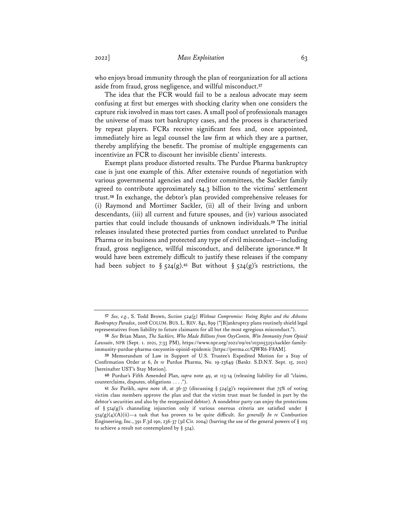who enjoys broad immunity through the plan of reorganization for all actions aside from fraud, gross negligence, and willful misconduct.**<sup>57</sup>**

The idea that the FCR would fail to be a zealous advocate may seem confusing at first but emerges with shocking clarity when one considers the capture risk involved in mass tort cases. A small pool of professionals manages the universe of mass tort bankruptcy cases, and the process is characterized by repeat players. FCRs receive significant fees and, once appointed, immediately hire as legal counsel the law firm at which they are a partner, thereby amplifying the benefit. The promise of multiple engagements can incentivize an FCR to discount her invisible clients' interests.

Exempt plans produce distorted results. The Purdue Pharma bankruptcy case is just one example of this. After extensive rounds of negotiation with various governmental agencies and creditor committees, the Sackler family agreed to contribute approximately \$4.3 billion to the victims' settlement trust.**<sup>58</sup>** In exchange, the debtor's plan provided comprehensive releases for (i) Raymond and Mortimer Sackler, (ii) all of their living and unborn descendants, (iii) all current and future spouses, and (iv) various associated parties that could include thousands of unknown individuals.**<sup>59</sup>** The initial releases insulated these protected parties from conduct unrelated to Purdue Pharma or its business and protected any type of civil misconduct—including fraud, gross negligence, willful misconduct, and deliberate ignorance.**<sup>60</sup>** It would have been extremely difficult to justify these releases if the company had been subject to § 524(g).**<sup>61</sup>** But without § 524(g)'s restrictions, the

**<sup>57</sup>** *See, e.g.*, S. Todd Brown, *Section 524(g) Without Compromise: Voting Rights and the Asbestos Bankruptcy Paradox*, 2008 COLUM. BUS. L. REV. 841, 899 ("[B]ankruptcy plans routinely shield legal representatives from liability to future claimants for all but the most egregious misconduct.").

**<sup>58</sup>** *See* Brian Mann, *The Sacklers, Who Made Billions from OxyContin, Win Immunity from Opioid Lawsuits*, NPR (Sept. 1. 2021, 7:33 PM), https://www.npr.org/2021/09/01/1031053251/sackler-familyimmunity-purdue-pharma-oxcyontin-opioid-epidemic [https://perma.cc/QWR6-F8AM].

**<sup>59</sup>** Memorandum of Law in Support of U.S. Trustee's Expedited Motion for a Stay of Confirmation Order at 6, *In re* Purdue Pharma, No. 19-23649 (Bankr. S.D.N.Y. Sept. 15, 2021) [hereinafter UST's Stay Motion].

**<sup>60</sup>** Purdue's Fifth Amended Plan, *supra* note 49, at 113-14 (releasing liability for all "claims, counterclaims, disputes, obligations . . . .").

**<sup>61</sup>** *See* Parikh, *supra* note 18, at 36-37 (discussing § 524(g)'s requirement that 75% of voting victim class members approve the plan and that the victim trust must be funded in part by the debtor's securities and also by the reorganized debtor). A nondebtor party can enjoy the protections of § 524(g)'s channeling injunction only if various onerous criteria are satisfied under § 524(g)(4)(A)(ii)—a task that has proven to be quite difficult. *See generally In re* Combustion Engineering, Inc., 391 F.3d 190, 236-37 (3d Cir. 2004) (barring the use of the general powers of § 105 to achieve a result not contemplated by  $\S$  524).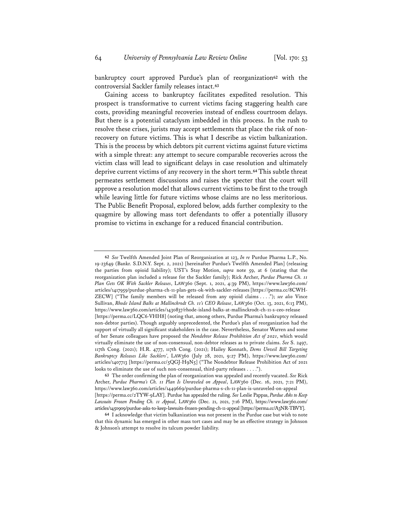bankruptcy court approved Purdue's plan of reorganization**<sup>62</sup>** with the controversial Sackler family releases intact.**<sup>63</sup>**

Gaining access to bankruptcy facilitates expedited resolution. This prospect is transformative to current victims facing staggering health care costs, providing meaningful recoveries instead of endless courtroom delays. But there is a potential cataclysm imbedded in this process. In the rush to resolve these crises, jurists may accept settlements that place the risk of nonrecovery on future victims. This is what I describe as victim balkanization. This is the process by which debtors pit current victims against future victims with a simple threat: any attempt to secure comparable recoveries across the victim class will lead to significant delays in case resolution and ultimately deprive current victims of any recovery in the short term.**<sup>64</sup>** This subtle threat permeates settlement discussions and raises the specter that the court will approve a resolution model that allows current victims to be first to the trough while leaving little for future victims whose claims are no less meritorious. The Public Benefit Proposal, explored below, adds further complexity to the quagmire by allowing mass tort defendants to offer a potentially illusory promise to victims in exchange for a reduced financial contribution.

**<sup>62</sup>** *See* Twelfth Amended Joint Plan of Reorganization at 123, *In re* Purdue Pharma L.P., No. 19-23649 (Bankr. S.D.N.Y. Sept. 2, 2021) [hereinafter Purdue's Twelfth Amended Plan] (releasing the parties from opioid liability); UST's Stay Motion, *supra* note 59, at 6 (stating that the reorganization plan included a release for the Sackler family); Rick Archer, *Purdue Pharma Ch. 11 Plan Gets OK With Sackler Releases*, LAW360 (Sept. 1, 2021, 4:39 PM), https://www.law360.com/ articles/1417959/purdue-pharma-ch-11-plan-gets-ok-with-sackler-releases [https://perma.cc/8CWH-ZECW] ("The family members will be released from any opioid claims . . . ."); *see also* Vince Sullivan, *Rhode Island Balks at Mallinckrodt Ch. 11's CEO Release*, LAW360 (Oct. 13, 2021, 6:13 PM), https://www.law360.com/articles/1430837/rhode-island-balks-at-mallinckrodt-ch-11-s-ceo-release [https://perma.cc/LQC6-VHH8] (noting that, among others, Purdue Pharma's bankruptcy released non-debtor parties). Though arguably unprecedented, the Purdue's plan of reorganization had the support of virtually all significant stakeholders in the case. Nevertheless, Senator Warren and some of her Senate colleagues have proposed the *Nondebtor Release Prohibition Act of 2021*, which would virtually eliminate the use of non-consensual, non-debtor releases as to private claims. *See* S. 2497, 117th Cong. (2021); H.R. 4777, 117th Cong. (2021); Hailey Konnath, *Dems Unveil Bill Targeting Bankruptcy Releases Like Sacklers'*, LAW360 (July 28, 2021, 9:27 PM), https://www.law360.com/ articles/1407713 [https://perma.cc/5QGJ-H9N5] ("The Nondebtor Release Prohibition Act of 2021 looks to eliminate the use of such non-consensual, third-party releases . . . .").

**<sup>63</sup>** The order confirming the plan of reorganization was appealed and recently vacated. *See* Rick Archer, *Purdue Pharma's Ch. 11 Plan Is Unraveled on Appeal*, LAW360 (Dec. 16, 2021, 7:21 PM), https://www.law360.com/articles/1449669/purdue-pharma-s-ch-11-plan-is-unraveled-on-appeal [https://perma.cc/2TYW-9LAY]. Purdue has appealed the ruling. *See* Leslie Pappas, *Purdue Asks to Keep Lawsuits Frozen Pending Ch. 11 Appeal*, LAW360 (Dec. 21, 2021, 7:16 PM), https://www.law360.com/ articles/1450909/purdue-asks-to-keep-lawsuits-frozen-pending-ch-11-appeal [https://perma.cc/A3NR-TBVY].

**<sup>64</sup>** I acknowledge that victim balkanization was not present in the Purdue case but wish to note that this dynamic has emerged in other mass tort cases and may be an effective strategy in Johnson & Johnson's attempt to resolve its talcum powder liability.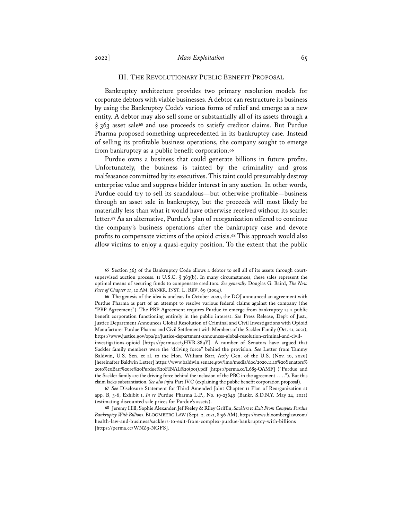#### III. THE REVOLUTIONARY PUBLIC BENEFIT PROPOSAL

Bankruptcy architecture provides two primary resolution models for corporate debtors with viable businesses. A debtor can restructure its business by using the Bankruptcy Code's various forms of relief and emerge as a new entity. A debtor may also sell some or substantially all of its assets through a § 363 asset sale**<sup>65</sup>** and use proceeds to satisfy creditor claims. But Purdue Pharma proposed something unprecedented in its bankruptcy case. Instead of selling its profitable business operations, the company sought to emerge from bankruptcy as a public benefit corporation.**<sup>66</sup>**

Purdue owns a business that could generate billions in future profits. Unfortunately, the business is tainted by the criminality and gross malfeasance committed by its executives. This taint could presumably destroy enterprise value and suppress bidder interest in any auction. In other words, Purdue could try to sell its scandalous—but otherwise profitable—business through an asset sale in bankruptcy, but the proceeds will most likely be materially less than what it would have otherwise received without its scarlet letter.**<sup>67</sup>** As an alternative, Purdue's plan of reorganization offered to continue the company's business operations after the bankruptcy case and devote profits to compensate victims of the opioid crisis.**<sup>68</sup>** This approach would also allow victims to enjoy a quasi-equity position. To the extent that the public

**<sup>65</sup>** Section 363 of the Bankruptcy Code allows a debtor to sell all of its assets through courtsupervised auction process. 11 U.S.C.  $\S$  363(b). In many circumstances, these sales represent the optimal means of securing funds to compensate creditors. *See generally* Douglas G. Baird, *The New Face of Chapter 11*, 12 AM. BANKR. INST. L. REV. 69 (2004).

**<sup>66</sup>** The genesis of the idea is unclear. In October 2020, the DOJ announced an agreement with Purdue Pharma as part of an attempt to resolve various federal claims against the company (the "PBP Agreement"). The PBP Agreement requires Purdue to emerge from bankruptcy as a public benefit corporation functioning entirely in the public interest. *See* Press Release, Dep't of Just., Justice Department Announces Global Resolution of Criminal and Civil Investigations with Opioid Manufacturer Purdue Pharma and Civil Settlement with Members of the Sackler Family (Oct. 21, 2021), https://www.justice.gov/opa/pr/justice-department-announces-global-resolution-criminal-and-civilinvestigations-opioid [https://perma.cc/3HVR-889Y]. A number of Senators have argued that Sackler family members were the "driving force" behind the provision. *See* Letter from Tammy Baldwin, U.S. Sen. et al. to the Hon. William Barr, Att'y Gen. of the U.S. (Nov. 10, 2020) [hereinafter Baldwin Letter] https://www.baldwin.senate.gov/imo/media/doc/2020.11.10%20Senators% 20to%20Barr%20re%20Purdue%20FINAL%20(001).pdf [https://perma.cc/L685-QAMF] ("Purdue and the Sackler family are the driving force behind the inclusion of the PBC in the agreement . . . ."). But this claim lacks substantiation. *See also infra* Part IV.C (explaining the public benefit corporation proposal).

**<sup>67</sup>** *See* Disclosure Statement for Third Amended Joint Chapter 11 Plan of Reorganization at app. B, 3-6, Exhibit 1, *In re* Purdue Pharma L.P., No. 19-23649 (Bankr. S.D.N.Y. May 24, 2021) (estimating discounted sale prices for Purdue's assets).

**<sup>68</sup>** Jeremy Hill, Sophie Alexander, Jef Feeley & Riley Griffin, *Sacklers to Exit From Complex Purdue Bankruptcy With Billions*, BLOOMBERG LAW (Sept. 2, 2021, 8:56 AM), https://news.bloomberglaw.com/ health-law-and-business/sacklers-to-exit-from-complex-purdue-bankruptcy-with-billions [https://perma.cc/WNZ9-NGFS].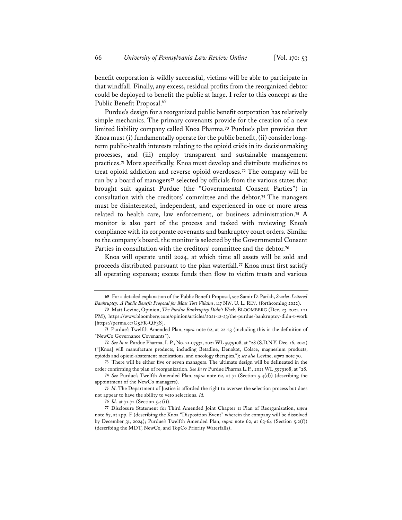benefit corporation is wildly successful, victims will be able to participate in that windfall. Finally, any excess, residual profits from the reorganized debtor could be deployed to benefit the public at large. I refer to this concept as the Public Benefit Proposal.<sup>69</sup>

Purdue's design for a reorganized public benefit corporation has relatively simple mechanics. The primary covenants provide for the creation of a new limited liability company called Knoa Pharma.**<sup>70</sup>** Purdue's plan provides that Knoa must (i) fundamentally operate for the public benefit, (ii) consider longterm public-health interests relating to the opioid crisis in its decisionmaking processes, and (iii) employ transparent and sustainable management practices.**<sup>71</sup>** More specifically, Knoa must develop and distribute medicines to treat opioid addiction and reverse opioid overdoses.**<sup>72</sup>** The company will be run by a board of managers**<sup>73</sup>** selected by officials from the various states that brought suit against Purdue (the "Governmental Consent Parties") in consultation with the creditors' committee and the debtor.**<sup>74</sup>** The managers must be disinterested, independent, and experienced in one or more areas related to health care, law enforcement, or business administration.**<sup>75</sup>** A monitor is also part of the process and tasked with reviewing Knoa's compliance with its corporate covenants and bankruptcy court orders. Similar to the company's board, the monitor is selected by the Governmental Consent Parties in consultation with the creditors' committee and the debtor.**<sup>76</sup>**

Knoa will operate until 2024, at which time all assets will be sold and proceeds distributed pursuant to the plan waterfall.**<sup>77</sup>** Knoa must first satisfy all operating expenses; excess funds then flow to victim trusts and various

**73** There will be either five or seven managers. The ultimate design will be delineated in the order confirming the plan of reorganization. *See In re* Purdue Pharma L.P., 2021 WL 5979108, at \*28.

**<sup>69</sup>** For a detailed explanation of the Public Benefit Proposal, see Samir D. Parikh, *Scarlet-Lettered Bankruptcy: A Public Benefit Proposal for Mass Tort Villains*, 117 NW. U. L. REV. (forthcoming 2022).

**<sup>70</sup>** Matt Levine, Opinion, *The Purdue Bankruptcy Didn't Work*, BLOOMBERG (Dec. 23, 2021, 1:11 PM), https://www.bloomberg.com/opinion/articles/2021-12-23/the-purdue-bankruptcy-didn-t-work [https://perma.cc/G5FK-QF3S].

**<sup>71</sup>** Purdue's Twelfth Amended Plan, *supra* note 62, at 22-23 (including this in the definition of "NewCo Governance Covenants").

**<sup>72</sup>** *See In re* Purdue Pharma, L.P., No. 21-07532, 2021 WL 5979108, at \*28 (S.D.N.Y. Dec. 16, 2021) ("[Knoa] will manufacture products, including Betadine, Denokot, Colace, magnesium products, opioids and opioid-abatement medications, and oncology therapies."); *see also* Levine, *supra* note 70.

**<sup>74</sup>** *See* Purdue's Twelfth Amended Plan, *supra* note 62, at 71 (Section 5.4(d)) (describing the appointment of the NewCo managers).

**<sup>75</sup>** *Id.* The Department of Justice is afforded the right to oversee the selection process but does not appear to have the ability to veto selections. *Id.*

**<sup>76</sup>** *Id.* at 71-72 (Section 5.4(i)).

**<sup>77</sup>** Disclosure Statement for Third Amended Joint Chapter 11 Plan of Reorganization, *supra* note 67, at app. F (describing the Knoa "Disposition Event" wherein the company will be dissolved by December 31, 2024); Purdue's Twelfth Amended Plan, *supra* note 62, at 63-64 (Section 5.2(f)) (describing the MDT, NewCo, and TopCo Priority Waterfalls).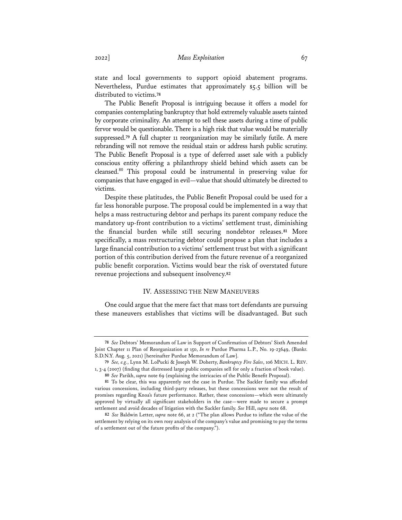state and local governments to support opioid abatement programs. Nevertheless, Purdue estimates that approximately \$5.5 billion will be distributed to victims.**<sup>78</sup>**

The Public Benefit Proposal is intriguing because it offers a model for companies contemplating bankruptcy that hold extremely valuable assets tainted by corporate criminality. An attempt to sell these assets during a time of public fervor would be questionable. There is a high risk that value would be materially suppressed.**<sup>79</sup>** A full chapter 11 reorganization may be similarly futile. A mere rebranding will not remove the residual stain or address harsh public scrutiny. The Public Benefit Proposal is a type of deferred asset sale with a publicly conscious entity offering a philanthropy shield behind which assets can be cleansed.80 This proposal could be instrumental in preserving value for companies that have engaged in evil—value that should ultimately be directed to victims.

Despite these platitudes, the Public Benefit Proposal could be used for a far less honorable purpose. The proposal could be implemented in a way that helps a mass restructuring debtor and perhaps its parent company reduce the mandatory up-front contribution to a victims' settlement trust, diminishing the financial burden while still securing nondebtor releases.**<sup>81</sup>** More specifically, a mass restructuring debtor could propose a plan that includes a large financial contribution to a victims' settlement trust but with a significant portion of this contribution derived from the future revenue of a reorganized public benefit corporation. Victims would bear the risk of overstated future revenue projections and subsequent insolvency.**<sup>82</sup>**

## IV. ASSESSING THE NEW MANEUVERS

One could argue that the mere fact that mass tort defendants are pursuing these maneuvers establishes that victims will be disadvantaged. But such

**<sup>78</sup>** *See* Debtors' Memorandum of Law in Support of Confirmation of Debtors' Sixth Amended Joint Chapter 11 Plan of Reorganization at 150, *In re* Purdue Pharma L.P., No. 19-23649, (Bankr. S.D.N.Y. Aug. 5, 2021) [hereinafter Purdue Memorandum of Law].

**<sup>79</sup>** *See, e.g.*, Lynn M. LoPucki & Joseph W. Doherty, *Bankruptcy Fire Sales*, 106 MICH. L. REV. 1, 3-4 (2007) (finding that distressed large public companies sell for only a fraction of book value).

**<sup>80</sup>** *See* Parikh, *supra* note 69 (explaining the intricacies of the Public Benefit Proposal).

**<sup>81</sup>** To be clear, this was apparently not the case in Purdue. The Sackler family was afforded various concessions, including third-party releases, but these concessions were not the result of promises regarding Knoa's future performance. Rather, these concessions—which were ultimately approved by virtually all significant stakeholders in the case—were made to secure a prompt settlement and avoid decades of litigation with the Sackler family. *See* Hill, *supra* note 68.

**<sup>82</sup>** *See* Baldwin Letter, *supra* note 66, at 2 ("The plan allows Purdue to inflate the value of the settlement by relying on its own rosy analysis of the company's value and promising to pay the terms of a settlement out of the future profits of the company.").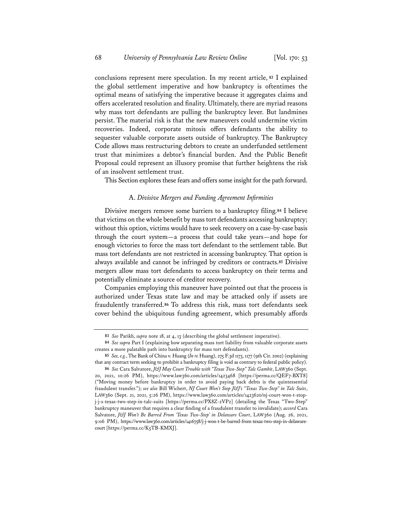conclusions represent mere speculation. In my recent article, **<sup>83</sup>** I explained the global settlement imperative and how bankruptcy is oftentimes the optimal means of satisfying the imperative because it aggregates claims and offers accelerated resolution and finality. Ultimately, there are myriad reasons why mass tort defendants are pulling the bankruptcy lever. But landmines persist. The material risk is that the new maneuvers could undermine victim recoveries. Indeed, corporate mitosis offers defendants the ability to sequester valuable corporate assets outside of bankruptcy. The Bankruptcy Code allows mass restructuring debtors to create an underfunded settlement trust that minimizes a debtor's financial burden. And the Public Benefit Proposal could represent an illusory promise that further heightens the risk of an insolvent settlement trust.

This Section explores these fears and offers some insight for the path forward.

## A. *Divisive Mergers and Funding Agreement Infrmities*

Divisive mergers remove some barriers to a bankruptcy filing.**<sup>84</sup>** I believe that victims on the whole benefit by mass tort defendants accessing bankruptcy; without this option, victims would have to seek recovery on a case-by-case basis through the court system—a process that could take years—and hope for enough victories to force the mass tort defendant to the settlement table. But mass tort defendants are not restricted in accessing bankruptcy. That option is always available and cannot be infringed by creditors or contracts.**<sup>85</sup>** Divisive mergers allow mass tort defendants to access bankruptcy on their terms and potentially eliminate a source of creditor recovery.

Companies employing this maneuver have pointed out that the process is authorized under Texas state law and may be attacked only if assets are fraudulently transferred.**<sup>86</sup>** To address this risk, mass tort defendants seek cover behind the ubiquitous funding agreement, which presumably affords

**<sup>83</sup>** *See* Parikh, *supra* note 18, at 4, 13 (describing the global settlement imperative).

**<sup>84</sup>** *See supra* Part I (explaining how separating mass tort liability from valuable corporate assets creates a more palatable path into bankruptcy for mass tort defendants).

**<sup>85</sup>** *See, e.g.*,The Bank of China v. Huang (*In re* Huang), 275 F.3d 1173, 1177 (9th Cir. 2002) (explaining that any contract term seeking to prohibit a bankruptcy filing is void as contrary to federal public policy).

**<sup>86</sup>** *See* Cara Salvatore, *J&J May Court Trouble with "Texas Two-Step" Talc Gambit*, LAW360 (Sept. 20, 2021, 10:26 PM), https://www.law360.com/articles/1423468 [https://perma.cc/QEF7-BXT8] ("Moving money before bankruptcy in order to avoid paying back debts is the quintessential fraudulent transfer."); *see also* Bill Wichert, *NJ Court Won't Stop J&J's "Texas Two-Step" in Talc Suits*, LAW360 (Sept. 21, 2021, 5:26 PM), https://www.law360.com/articles/1423620/nj-court-won-t-stopj-j-s-texas-two-step-in-talc-suits [https://perma.cc/PX8Z-2VP2] (detailing the Texas "Two-Step" bankruptcy maneuver that requires a clear finding of a fraudulent transfer to invalidate); *accord* Cara Salvatore, *J&J Won't Be Barred From 'Texas Two-Step' in Delaware Court*, LAW360 (Aug. 26, 2021, 9:06 PM), https://www.law360.com/articles/1416758/j-j-won-t-be-barred-from-texas-two-step-in-delawarecourt [https://perma.cc/K5TB-KMXJ].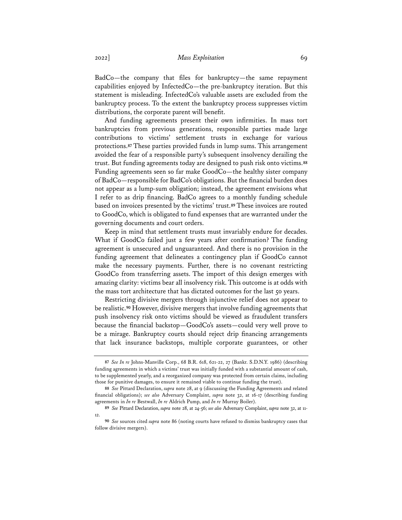BadCo—the company that files for bankruptcy—the same repayment capabilities enjoyed by InfectedCo—the pre-bankruptcy iteration. But this statement is misleading. InfectedCo's valuable assets are excluded from the bankruptcy process. To the extent the bankruptcy process suppresses victim distributions, the corporate parent will benefit.

And funding agreements present their own infirmities. In mass tort bankruptcies from previous generations, responsible parties made large contributions to victims' settlement trusts in exchange for various protections.**<sup>87</sup>** These parties provided funds in lump sums. This arrangement avoided the fear of a responsible party's subsequent insolvency derailing the trust. But funding agreements today are designed to push risk onto victims.**<sup>88</sup>** Funding agreements seen so far make GoodCo—the healthy sister company of BadCo—responsible for BadCo's obligations. But the financial burden does not appear as a lump-sum obligation; instead, the agreement envisions what I refer to as drip financing. BadCo agrees to a monthly funding schedule based on invoices presented by the victims' trust.**<sup>89</sup>** These invoices are routed to GoodCo, which is obligated to fund expenses that are warranted under the governing documents and court orders.

Keep in mind that settlement trusts must invariably endure for decades. What if GoodCo failed just a few years after confirmation? The funding agreement is unsecured and unguaranteed. And there is no provision in the funding agreement that delineates a contingency plan if GoodCo cannot make the necessary payments. Further, there is no covenant restricting GoodCo from transferring assets. The import of this design emerges with amazing clarity: victims bear all insolvency risk. This outcome is at odds with the mass tort architecture that has dictated outcomes for the last 50 years.

Restricting divisive mergers through injunctive relief does not appear to be realistic.**<sup>90</sup>** However, divisive mergers that involve funding agreements that push insolvency risk onto victims should be viewed as fraudulent transfers because the financial backstop—GoodCo's assets—could very well prove to be a mirage. Bankruptcy courts should reject drip financing arrangements that lack insurance backstops, multiple corporate guarantees, or other

**<sup>87</sup>** *See In re* Johns-Manville Corp., 68 B.R. 618, 621-22, 27 (Bankr. S.D.N.Y. 1986) (describing funding agreements in which a victims' trust was initially funded with a substantial amount of cash, to be supplemented yearly, and a reorganized company was protected from certain claims, including those for punitive damages, to ensure it remained viable to continue funding the trust).

**<sup>88</sup>** *See* Pittard Declaration, *supra* note 28, at 9 (discussing the Funding Agreements and related financial obligations); *see also* Adversary Complaint, *supra* note 32, at 16-17 (describing funding agreements in *In re* Bestwall, *In re* Aldrich Pump, and *In re* Murray Boiler).

**<sup>89</sup>** *See* Pittard Declaration, *supra* note 28, at 24-56; *see also* Adversary Complaint, *supra* note 32, at 11- 12.

**<sup>90</sup>** *See* sources cited *supra* note 86 (noting courts have refused to dismiss bankruptcy cases that follow divisive mergers).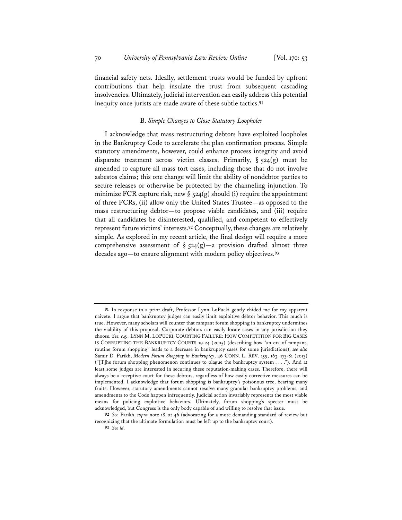financial safety nets. Ideally, settlement trusts would be funded by upfront contributions that help insulate the trust from subsequent cascading insolvencies. Ultimately, judicial intervention can easily address this potential inequity once jurists are made aware of these subtle tactics.**<sup>91</sup>**

#### B. *Simple Changes to Close Statutory Loopholes*

I acknowledge that mass restructuring debtors have exploited loopholes in the Bankruptcy Code to accelerate the plan confirmation process. Simple statutory amendments, however, could enhance process integrity and avoid disparate treatment across victim classes. Primarily,  $\S$  524(g) must be amended to capture all mass tort cases, including those that do not involve asbestos claims; this one change will limit the ability of nondebtor parties to secure releases or otherwise be protected by the channeling injunction. To minimize FCR capture risk, new  $\S$  524(g) should (i) require the appointment of three FCRs, (ii) allow only the United States Trustee—as opposed to the mass restructuring debtor—to propose viable candidates, and (iii) require that all candidates be disinterested, qualified, and competent to effectively represent future victims' interests.**<sup>92</sup>** Conceptually, these changes are relatively simple. As explored in my recent article, the final design will require a more comprehensive assessment of  $\S$  524(g)—a provision drafted almost three decades ago—to ensure alignment with modern policy objectives.**<sup>93</sup>**

**<sup>91</sup>** In response to a prior draft, Professor Lynn LoPucki gently chided me for my apparent naivete. I argue that bankruptcy judges can easily limit exploitive debtor behavior. This much is true. However, many scholars will counter that rampant forum shopping in bankruptcy undermines the viability of this proposal. Corporate debtors can easily locate cases in any jurisdiction they choose. *See, e.g.,* LYNN M. LOPUCKI, COURTING FAILURE: HOW COMPETITION FOR BIG CASES IS CORRUPTING THE BANKRUPTCY COURTS 19-24 (2005) (describing how "an era of rampant, routine forum shopping" leads to a decrease in bankruptcy cases for some jurisdictions); *see also* Samir D. Parikh, *Modern Forum Shopping in Bankruptcy*, 46 CONN. L. REV. 159, 163, 173-81 (2013) ("[T]he forum shopping phenomenon continues to plague the bankruptcy system . . . ."). And at least some judges are interested in securing these reputation-making cases. Therefore, there will always be a receptive court for these debtors, regardless of how easily corrective measures can be implemented. I acknowledge that forum shopping is bankruptcy's poisonous tree, bearing many fruits. However, statutory amendments cannot resolve many granular bankruptcy problems, and amendments to the Code happen infrequently. Judicial action invariably represents the most viable means for policing exploitive behaviors. Ultimately, forum shopping's specter must be acknowledged, but Congress is the only body capable of and willing to resolve that issue.

**<sup>92</sup>** *See* Parikh, *supra* note 18, at 46 (advocating for a more demanding standard of review but recognizing that the ultimate formulation must be left up to the bankruptcy court).

**<sup>93</sup>** *See id.*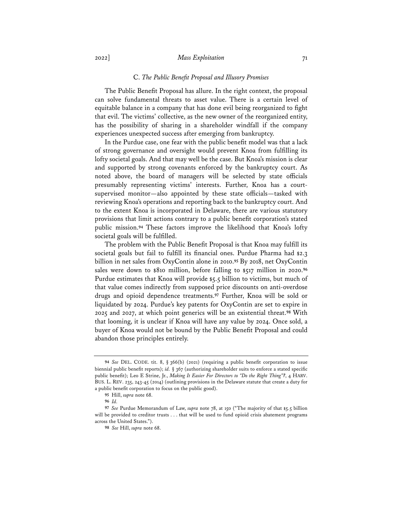## 2022] *Mass Exploitation* 71

#### C. *The Public Beneft Proposal and Illusory Promises*

The Public Benefit Proposal has allure. In the right context, the proposal can solve fundamental threats to asset value. There is a certain level of equitable balance in a company that has done evil being reorganized to fight that evil. The victims' collective, as the new owner of the reorganized entity, has the possibility of sharing in a shareholder windfall if the company experiences unexpected success after emerging from bankruptcy.

In the Purdue case, one fear with the public benefit model was that a lack of strong governance and oversight would prevent Knoa from fulfilling its lofty societal goals. And that may well be the case. But Knoa's mission is clear and supported by strong covenants enforced by the bankruptcy court. As noted above, the board of managers will be selected by state officials presumably representing victims' interests. Further, Knoa has a courtsupervised monitor—also appointed by these state officials—tasked with reviewing Knoa's operations and reporting back to the bankruptcy court. And to the extent Knoa is incorporated in Delaware, there are various statutory provisions that limit actions contrary to a public benefit corporation's stated public mission.**<sup>94</sup>** These factors improve the likelihood that Knoa's lofty societal goals will be fulfilled.

The problem with the Public Benefit Proposal is that Knoa may fulfill its societal goals but fail to fulfill its financial ones. Purdue Pharma had \$2.3 billion in net sales from OxyContin alone in 2010.**<sup>95</sup>** By 2018, net OxyContin sales were down to \$810 million, before falling to \$517 million in 2020.**<sup>96</sup>** Purdue estimates that Knoa will provide \$5.5 billion to victims, but much of that value comes indirectly from supposed price discounts on anti-overdose drugs and opioid dependence treatments.**<sup>97</sup>** Further, Knoa will be sold or liquidated by 2024. Purdue's key patents for OxyContin are set to expire in 2025 and 2027, at which point generics will be an existential threat.**<sup>98</sup>** With that looming, it is unclear if Knoa will have any value by 2024. Once sold, a buyer of Knoa would not be bound by the Public Benefit Proposal and could abandon those principles entirely.

**<sup>94</sup>** *See* DEL. CODE. tit. 8, § 366(b) (2021) (requiring a public benefit corporation to issue biennial public benefit reports); *id.* § 367 (authorizing shareholder suits to enforce a stated specific public benefit); Leo E Strine, Jr., *Making It Easier For Directors to "Do the Right Thing"?*, 4 HARV. BUS. L. REV. 235, 243-45 (2014) (outlining provisions in the Delaware statute that create a duty for a public benefit corporation to focus on the public good).

**<sup>95</sup>** Hill, *supra* note 68.

**<sup>96</sup>** *Id.*

**<sup>97</sup>** *See* Purdue Memorandum of Law, *supra* note 78, at 150 ("The majority of that \$5.5 billion will be provided to creditor trusts . . . that will be used to fund opioid crisis abatement programs across the United States.").

**<sup>98</sup>** *See* Hill, *supra* note 68.